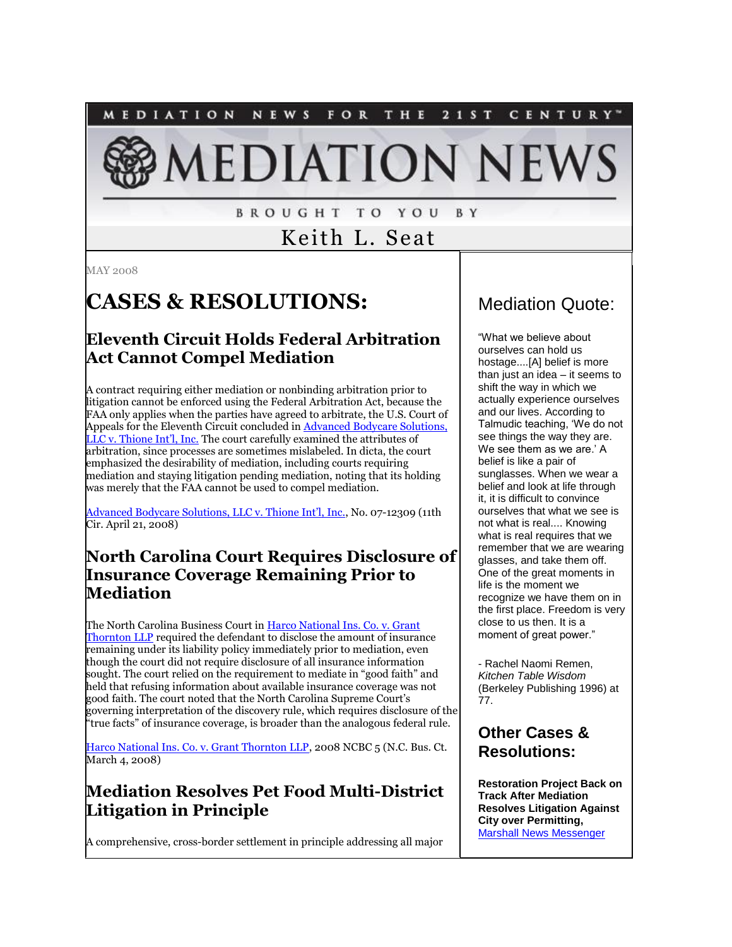MEDIATION **NEWS** FOR THE 2 1 S T CENTURY<sup>\*</sup>

# **IEDIATION NEW**

**BROUGHT TO YOU** B Y

Keith L. Seat

MAY 2008

## **CASES & RESOLUTIONS:**

#### **Eleventh Circuit Holds Federal Arbitration Act Cannot Compel Mediation**

A contract requiring either mediation or nonbinding arbitration prior to litigation cannot be enforced using the Federal Arbitration Act, because the FAA only applies when the parties have agreed to arbitrate, the U.S. Court of Appeals for the Eleventh Circuit concluded in [Advanced Bodycare Solutions,](http://www.ca11.uscourts.gov/opinions/ops/200712309.pdf)  [LLC v. Thione Int'l, Inc.](http://www.ca11.uscourts.gov/opinions/ops/200712309.pdf) The court carefully examined the attributes of arbitration, since processes are sometimes mislabeled. In dicta, the court emphasized the desirability of mediation, including courts requiring mediation and staying litigation pending mediation, noting that its holding was merely that the FAA cannot be used to compel mediation.

[Advanced Bodycare Solutions, LLC v. Thione Int'l,](http://www.ca11.uscourts.gov/opinions/ops/200712309.pdf) Inc., No. 07-12309 (11th Cir. April 21, 2008)

#### **North Carolina Court Requires Disclosure of Insurance Coverage Remaining Prior to Mediation**

The North Carolina Business Court i[n Harco National Ins. Co. v. Grant](http://www.ncbusinesscourt.net/opinions/2008%20ncbc%205.pdf)  [Thornton LLP](http://www.ncbusinesscourt.net/opinions/2008%20ncbc%205.pdf) required the defendant to disclose the amount of insurance remaining under its liability policy immediately prior to mediation, even though the court did not require disclosure of all insurance information sought. The court relied on the requirement to mediate in "good faith" and held that refusing information about available insurance coverage was not good faith. The court noted that the North Carolina Supreme Court's governing interpretation of the discovery rule, which requires disclosure of the "true facts" of insurance coverage, is broader than the analogous federal rule.

[Harco National Ins. Co. v. Grant Thornton LLP,](http://www.ncbusinesscourt.net/opinions/2008%20ncbc%205.pdf) 2008 NCBC 5 (N.C. Bus. Ct. March 4, 2008)

#### **Mediation Resolves Pet Food Multi-District Litigation in Principle**

A comprehensive, cross-border settlement in principle addressing all major

## Mediation Quote:

"What we believe about ourselves can hold us hostage....[A] belief is more than just an idea – it seems to shift the way in which we actually experience ourselves and our lives. According to Talmudic teaching, "We do not see things the way they are. We see them as we are.' A belief is like a pair of sunglasses. When we wear a belief and look at life through it, it is difficult to convince ourselves that what we see is not what is real.... Knowing what is real requires that we remember that we are wearing glasses, and take them off. One of the great moments in life is the moment we recognize we have them on in the first place. Freedom is very close to us then. It is a moment of great power."

- Rachel Naomi Remen, *Kitchen Table Wisdom*  (Berkeley Publishing 1996) at 77.

#### **Other Cases & Resolutions:**

**Restoration Project Back on Track After Mediation Resolves Litigation Against City over Permitting,**  [Marshall News Messenger](http://www.marshallnewsmessenger.com/news/content/news/stories/2008/042008_web_mediation.html)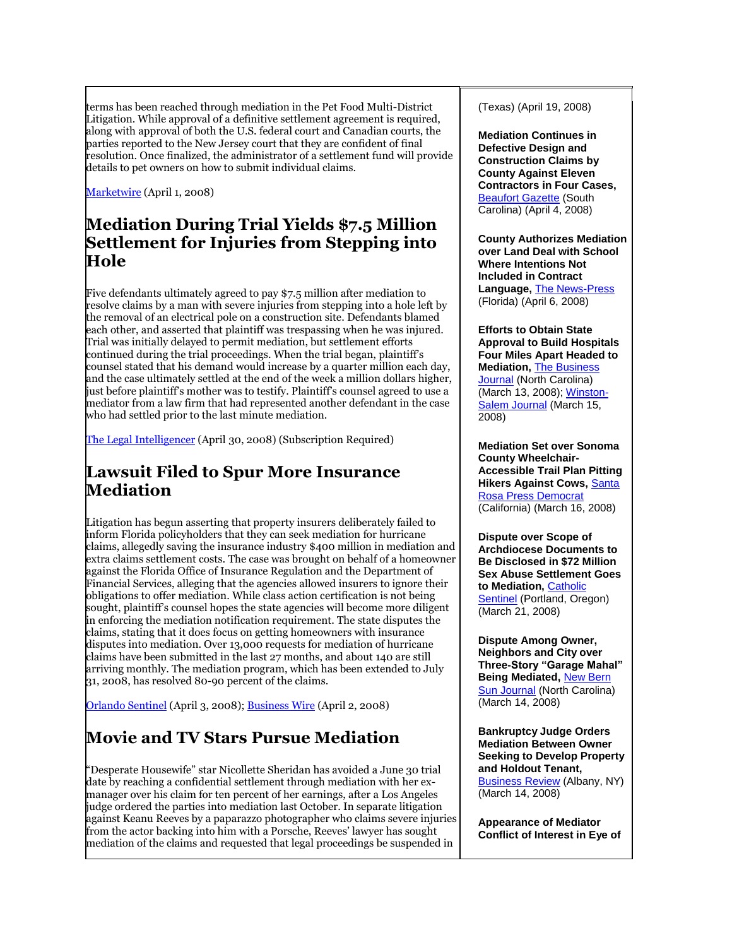terms has been reached through mediation in the Pet Food Multi-District Litigation. While approval of a definitive settlement agreement is required, along with approval of both the U.S. federal court and Canadian courts, the parties reported to the New Jersey court that they are confident of final resolution. Once finalized, the administrator of a settlement fund will provide details to pet owners on how to submit individual claims.

[Marketwire](http://www.marketwire.com/mw/release.do?id=838913) (April 1, 2008)

#### **Mediation During Trial Yields \$7.5 Million Settlement for Injuries from Stepping into Hole**

Five defendants ultimately agreed to pay \$7.5 million after mediation to resolve claims by a man with severe injuries from stepping into a hole left by the removal of an electrical pole on a construction site. Defendants blamed each other, and asserted that plaintiff was trespassing when he was injured. Trial was initially delayed to permit mediation, but settlement efforts continued during the trial proceedings. When the trial began, plaintiff's counsel stated that his demand would increase by a quarter million each day, and the case ultimately settled at the end of the week a million dollars higher, just before plaintiff's mother was to testify. Plaintiff's counsel agreed to use a mediator from a law firm that had represented another defendant in the case who had settled prior to the last minute mediation.

[The Legal Intelligencer](http://tinyurl.com/63o6x9) (April 30, 2008) (Subscription Required)

#### **Lawsuit Filed to Spur More Insurance Mediation**

Litigation has begun asserting that property insurers deliberately failed to inform Florida policyholders that they can seek mediation for hurricane claims, allegedly saving the insurance industry \$400 million in mediation and extra claims settlement costs. The case was brought on behalf of a homeowner against the Florida Office of Insurance Regulation and the Department of Financial Services, alleging that the agencies allowed insurers to ignore their obligations to offer mediation. While class action certification is not being sought, plaintiff's counsel hopes the state agencies will become more diligent in enforcing the mediation notification requirement. The state disputes the claims, stating that it does focus on getting homeowners with insurance disputes into mediation. Over 13,000 requests for mediation of hurricane claims have been submitted in the last 27 months, and about 140 are still arriving monthly. The mediation program, which has been extended to July 31, 2008, has resolved 80-90 percent of the claims.

[Orlando Sentinel](http://tinyurl.com/5kmqn8) (April 3, 2008); [Business Wire](http://www.businesswire.com/portal/site/home/news/sections/?ndmViewId=news_view&newsLang=en&newsId=20080402006109) (April 2, 2008)

## **Movie and TV Stars Pursue Mediation**

"Desperate Housewife" star Nicollette Sheridan has avoided a June 30 trial date by reaching a confidential settlement through mediation with her exmanager over his claim for ten percent of her earnings, after a Los Angeles judge ordered the parties into mediation last October. In separate litigation against Keanu Reeves by a paparazzo photographer who claims severe injuries from the actor backing into him with a Porsche, Reeves' lawyer has sought mediation of the claims and requested that legal proceedings be suspended in

(Texas) (April 19, 2008)

**Mediation Continues in Defective Design and Construction Claims by County Against Eleven Contractors in Four Cases, [Beaufort Gazette](http://www.beaufortgazette.com/local/story/286001.html) (South** Carolina) (April 4, 2008)

**County Authorizes Mediation over Land Deal with School Where Intentions Not Included in Contract Language,** [The News-Press](http://www.news-press.com/apps/pbcs.dll/article?AID=/20080406/NEWS0101/804060362/1003/ACC) (Florida) (April 6, 2008)

**Efforts to Obtain State Approval to Build Hospitals Four Miles Apart Headed to Mediation,** [The Business](http://triad.bizjournals.com/triad/stories/2008/03/10/daily35.html)  [Journal](http://triad.bizjournals.com/triad/stories/2008/03/10/daily35.html)</u> (North Carolina) (March 13, 2008)[; Winston-](http://www.journalnow.com/servlet/Satellite?pagename=WSJ%2FMGArticle%2FWSJ_BasicArticle&c=MGArticle&cid=1173354973751&path=!business&s=1037645507703)[Salem Journal](http://www.journalnow.com/servlet/Satellite?pagename=WSJ%2FMGArticle%2FWSJ_BasicArticle&c=MGArticle&cid=1173354973751&path=!business&s=1037645507703) (March 15, 2008)

**Mediation Set over Sonoma County Wheelchair-Accessible Trail Plan Pitting Hikers Against Cows,** [Santa](http://www.pressdemocrat.com/EarlyEdition/article_view.cfm?recordID=8879&publishdate=03/16/2008)  [Rosa Press Democrat](http://www.pressdemocrat.com/EarlyEdition/article_view.cfm?recordID=8879&publishdate=03/16/2008) (California) (March 16, 2008)

**Dispute over Scope of Archdiocese Documents to Be Disclosed in \$72 Million Sex Abuse Settlement Goes to Mediation,** [Catholic](http://www.sentinel.org/node/8883)  [Sentinel](http://www.sentinel.org/node/8883) (Portland, Oregon) (March 21, 2008)

**Dispute Among Owner, Neighbors and City over Three-Story "Garage Mahal" Being Mediated,** [New Bern](http://www.newbernsj.com/news/city_38803___article.html/garage_hughes.html)  [Sun Journal](http://www.newbernsj.com/news/city_38803___article.html/garage_hughes.html) (North Carolina) (March 14, 2008)

**Bankruptcy Judge Orders Mediation Between Owner Seeking to Develop Property and Holdout Tenant,**  [Business Review](http://www.bizjournals.com/albany/stories/2008/03/10/daily48.html) (Albany, NY) (March 14, 2008)

**Appearance of Mediator Conflict of Interest in Eye of**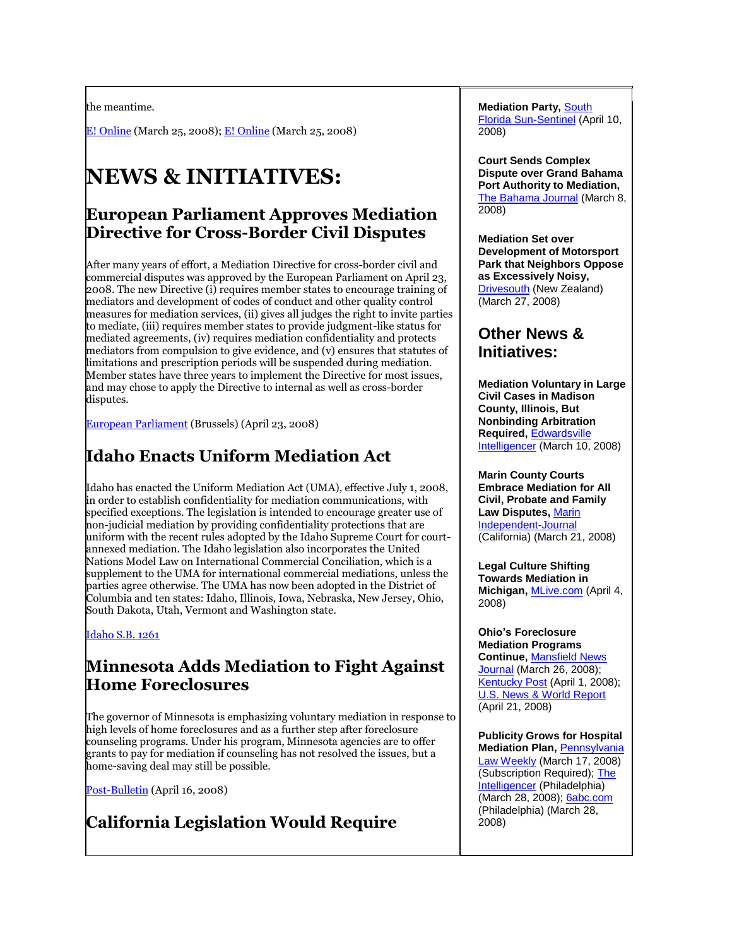the meantime.

[E! Online](http://www.eonline.com/news/article/index.jsp?uuid=3fdf25ae-c45d-4712-a634-a0bd9ae11aa5) (March 25, 2008)[; E! Online](http://www.eonline.com/news/article/index.jsp?uuid=336aaa1b-f8c6-4035-88d3-04378c0d4cd3) (March 25, 2008)

# **NEWS & INITIATIVES:**

#### **European Parliament Approves Mediation Directive for Cross-Border Civil Disputes**

After many years of effort, a Mediation Directive for cross-border civil and commercial disputes was approved by the European Parliament on April 23, 2008. The new Directive (i) requires member states to encourage training of mediators and development of codes of conduct and other quality control measures for mediation services, (ii) gives all judges the right to invite parties to mediate, (iii) requires member states to provide judgment-like status for mediated agreements, (iv) requires mediation confidentiality and protects mediators from compulsion to give evidence, and (v) ensures that statutes of limitations and prescription periods will be suspended during mediation. Member states have three years to implement the Directive for most issues, and may chose to apply the Directive to internal as well as cross-border disputes.

[European Parliament](http://conciliareconviene.weebly.com/) (Brussels) (April 23, 2008)

## **Idaho Enacts Uniform Mediation Act**

Idaho has enacted the Uniform Mediation Act (UMA), effective July 1, 2008, in order to establish confidentiality for mediation communications, with specified exceptions. The legislation is intended to encourage greater use of non-judicial mediation by providing confidentiality protections that are uniform with the recent rules adopted by the Idaho Supreme Court for courtannexed mediation. The Idaho legislation also incorporates the United Nations Model Law on International Commercial Conciliation, which is a supplement to the UMA for international commercial mediations, unless the parties agree otherwise. The UMA has now been adopted in the District of Columbia and ten states: Idaho, Illinois, Iowa, Nebraska, New Jersey, Ohio, South Dakota, Utah, Vermont and Washington state.

[Idaho S.B. 1261](http://www3.idaho.gov/oasis/S1261.html)

#### **Minnesota Adds Mediation to Fight Against Home Foreclosures**

The governor of Minnesota is emphasizing voluntary mediation in response to high levels of home foreclosures and as a further step after foreclosure counseling programs. Under his program, Minnesota agencies are to offer grants to pay for mediation if counseling has not resolved the issues, but a home-saving deal may still be possible.

[Post-Bulletin](http://news.postbulletin.com/newsmanager/templates/localnews_story.asp?a=337448&z=16) (April 16, 2008)

## **California Legislation Would Require**

**Mediation Party,** [South](http://www.sun-sentinel.com/news/local/broward/sfl-flbdaviecommons0411sbapr11,0,2590760.story)  [Florida Sun-Sentinel](http://www.sun-sentinel.com/news/local/broward/sfl-flbdaviecommons0411sbapr11,0,2590760.story) (April 10, 2008)

**Court Sends Complex Dispute over Grand Bahama Port Authority to Mediation,**  [The Bahama Journal](http://www.jonesbahamas.com/?c=45&a=16178) (March 8, 2008)

**Mediation Set over Development of Motorsport Park that Neighbors Oppose as Excessively Noisy,**  [Drivesouth](http://www.drivesouth.co.nz/news/5249/motorsport-park-appeal-directed-to-mediation) (New Zealand) (March 27, 2008)

#### **Other News & Initiatives:**

**Mediation Voluntary in Large Civil Cases in Madison County, Illinois, But Nonbinding Arbitration Required,** [Edwardsville](http://www.goedwardsville.com/site/news.cfm?newsid=19376738&BRD=2291&PAG=461&dept_id=473648&rfi=6)  [Intelligencer](http://www.goedwardsville.com/site/news.cfm?newsid=19376738&BRD=2291&PAG=461&dept_id=473648&rfi=6) (March 10, 2008)

**Marin County Courts Embrace Mediation for All Civil, Probate and Family Law Disputes,** [Marin](http://www.marinij.com/opinion/ci_8647621)  [Independent-Journal](http://www.marinij.com/opinion/ci_8647621) (California) (March 21, 2008)

**Legal Culture Shifting Towards Mediation in Michigan,** [MLive.com](http://www.mlive.com/business/index.ssf/2008/04/mediation_talk_first_before_go.html) (April 4, 2008)

**Ohio's Foreclosure Mediation Programs Continue,** [Mansfield News](http://www.mansfieldnewsjournal.com/apps/pbcs.dll/article?AID=/20080326/UPDATES01/80326021)  [Journal](http://www.mansfieldnewsjournal.com/apps/pbcs.dll/article?AID=/20080326/UPDATES01/80326021) (March 26, 2008); [Kentucky Post](http://www.kypost.com/content/wcposhared/story.aspx?content_id=65d64ae3-dbe8-4d63-bb63-ce6fb45d9c2f) (April 1, 2008); [U.S. News & World Report](http://www.usnews.com/articles/business/real-estate/2008/04/21/how-ohio-is-tackling-the-foreclosure-crisis.html) (April 21, 2008)

**Publicity Grows for Hospital Mediation Plan,** [Pennsylvania](http://tinyurl.com/6acsrl)  [Law Weekly](http://tinyurl.com/6acsrl) (March 17, 2008) (Subscription Required)[; The](http://www.phillyburbs.com/pb-dyn/news/113-03282008-1510357.html)  [Intelligencer](http://www.phillyburbs.com/pb-dyn/news/113-03282008-1510357.html) (Philadelphia) (March 28, 2008)[; 6abc.com](http://abclocal.go.com/wpvi/story?section=news/health&id=6046099) (Philadelphia) (March 28, 2008)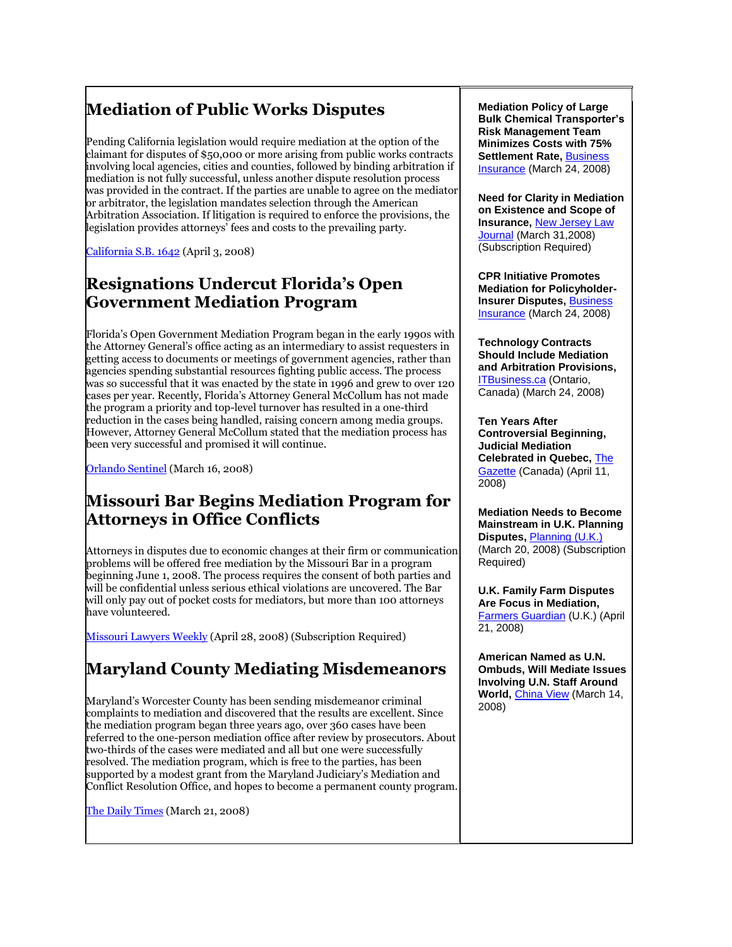## **Mediation of Public Works Disputes**

Pending California legislation would require mediation at the option of the claimant for disputes of \$50,000 or more arising from public works contracts involving local agencies, cities and counties, followed by binding arbitration if mediation is not fully successful, unless another dispute resolution process was provided in the contract. If the parties are unable to agree on the mediator or arbitrator, the legislation mandates selection through the American Arbitration Association. If litigation is required to enforce the provisions, the legislation provides attorneys' fees and costs to the prevailing party.

[California S.B. 1642](http://info.sen.ca.gov/pub/07-08/bill/sen/sb_1601-1650/sb_1642_bill_20080403_amended_sen_v97.html) (April 3, 2008)

#### **Resignations Undercut Florida's Open Government Mediation Program**

Florida's Open Government Mediation Program began in the early 1990s with the Attorney General's office acting as an intermediary to assist requesters in getting access to documents or meetings of government agencies, rather than agencies spending substantial resources fighting public access. The process was so successful that it was enacted by the state in 1996 and grew to over 120 cases per year. Recently, Florida's Attorney General McCollum has not made the program a priority and top-level turnover has resulted in a one-third reduction in the cases being handled, raising concern among media groups. However, Attorney General McCollum stated that the mediation process has been very successful and promised it will continue.

[Orlando Sentinel](http://www.fsne.org/sunshine2008/news/orlando/) (March 16, 2008)

#### **Missouri Bar Begins Mediation Program for Attorneys in Office Conflicts**

Attorneys in disputes due to economic changes at their firm or communication problems will be offered free mediation by the Missouri Bar in a program beginning June 1, 2008. The process requires the consent of both parties and will be confidential unless serious ethical violations are uncovered. The Bar will only pay out of pocket costs for mediators, but more than 100 attorneys have volunteered.

[Missouri Lawyers Weekly](http://tinyurl.com/6fh2cs) (April 28, 2008) (Subscription Required)

## **Maryland County Mediating Misdemeanors**

Maryland's Worcester County has been sending misdemeanor criminal complaints to mediation and discovered that the results are excellent. Since the mediation program began three years ago, over 360 cases have been referred to the one-person mediation office after review by prosecutors. About two-thirds of the cases were mediated and all but one were successfully resolved. The mediation program, which is free to the parties, has been supported by a modest grant from the Maryland Judiciary's Mediation and Conflict Resolution Office, and hopes to become a permanent county program.

[The Daily Times](http://www.dailytimesonline.com/apps/pbcs.dll/article?AID=/20080321/NEWS01/803210302/1002) (March 21, 2008)

**Mediation Policy of Large Bulk Chemical Transporter's Risk Management Team Minimizes Costs with 75% Settlement Rate, Business** [Insurance](http://www.businessinsurance.com/cgi-bin/article.pl?articleId=24431&a=a&bt=geisel) (March 24, 2008)

**Need for Clarity in Mediation on Existence and Scope of Insurance,** [New Jersey Law](http://tinyurl.com/5rse8m)  [Journal](http://tinyurl.com/5rse8m) (March 31,2008) (Subscription Required)

**CPR Initiative Promotes Mediation for Policyholder-Insurer Disputes,** [Business](http://www.businessinsurance.com/cgi-bin/article.pl?articleId=24439&a=a&bt=vanderlip)  [Insurance](http://www.businessinsurance.com/cgi-bin/article.pl?articleId=24439&a=a&bt=vanderlip) (March 24, 2008)

**Technology Contracts Should Include Mediation and Arbitration Provisions,**  [ITBusiness.ca](http://www.itbusiness.ca/it/client/en/home/News.asp?id=47681&cid=10) (Ontario, Canada) (March 24, 2008)

**Ten Years After Controversial Beginning, Judicial Mediation Celebrated in Quebec,** [The](http://www.canada.com/montrealgazette/news/business/story.html?id=7cf25538-fdc9-4d6b-97ce-e2167e17e443)  [Gazette](http://www.canada.com/montrealgazette/news/business/story.html?id=7cf25538-fdc9-4d6b-97ce-e2167e17e443) (Canada) (April 11, 2008)

**Mediation Needs to Become Mainstream in U.K. Planning Disputes,** [Planning \(U.K.\)](http://tinyurl.com/6yckgh) (March 20, 2008) (Subscription Required)

**U.K. Family Farm Disputes Are Focus in Mediation,**  [Farmers Guardian](http://www.farmersguardian.com/story.asp?sectioncode=40&storycode=17922) (U.K.) (April 21, 2008)

**American Named as U.N. Ombuds, Will Mediate Issues Involving U.N. Staff Around World,** [China View](http://news.xinhuanet.com/english/2008-03/15/content_7792316.htm) (March 14, 2008)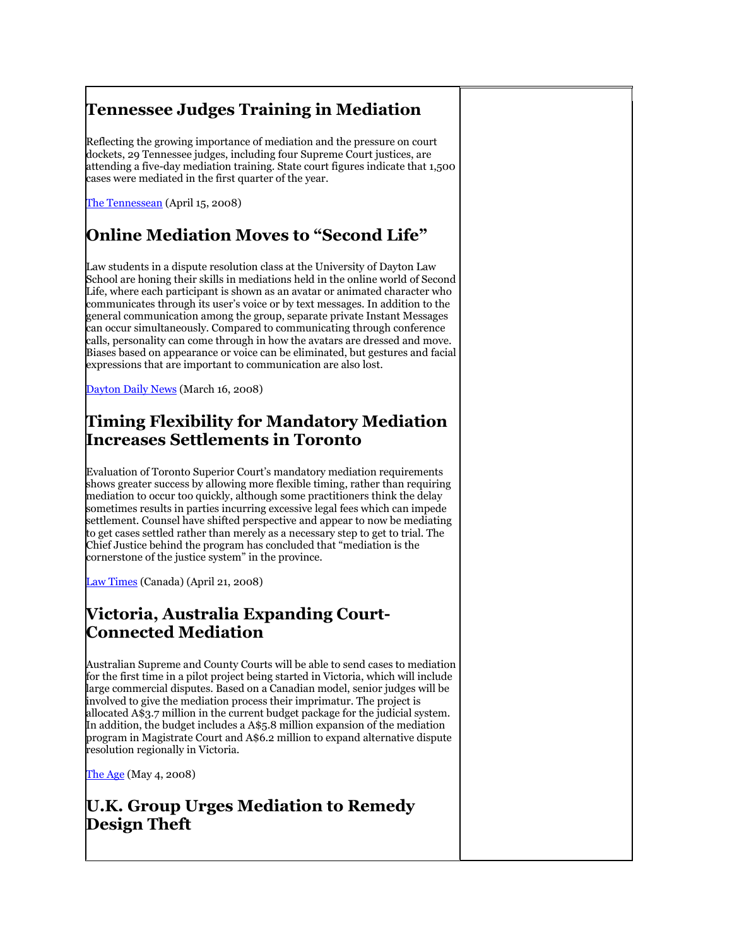## **Tennessee Judges Training in Mediation**

Reflecting the growing importance of mediation and the pressure on court dockets, 29 Tennessee judges, including four Supreme Court justices, are attending a five-day mediation training. State court figures indicate that 1,500 cases were mediated in the first quarter of the year.

[The Tennessean](http://www.tennessean.com/apps/pbcs.dll/article?AID=/20080415/NEWS03/804150363/1017/NEWS01) (April 15, 2008)

## **Online Mediation Moves to "Second Life"**

Law students in a dispute resolution class at the University of Dayton Law School are honing their skills in mediations held in the online world of Second Life, where each participant is shown as an avatar or animated character who communicates through its user's voice or by text messages. In addition to the general communication among the group, separate private Instant Messages can occur simultaneously. Compared to communicating through conference calls, personality can come through in how the avatars are dressed and move. Biases based on appearance or voice can be eliminated, but gestures and facial expressions that are important to communication are also lost.

[Dayton Daily News](http://www.daytondailynews.com/n/content/oh/story/news/local/2008/03/16/ddn031608secondlife.html) (March 16, 2008)

## **Timing Flexibility for Mandatory Mediation Increases Settlements in Toronto**

Evaluation of Toronto Superior Court's mandatory mediation requirements shows greater success by allowing more flexible timing, rather than requiring mediation to occur too quickly, although some practitioners think the delay sometimes results in parties incurring excessive legal fees which can impede settlement. Counsel have shifted perspective and appear to now be mediating to get cases settled rather than merely as a necessary step to get to trial. The Chief Justice behind the program has concluded that "mediation is the cornerstone of the justice system" in the province.

[Law Times](http://www.lawtimesnews.com/index.php?option=com_content&task=view&id=3999&Itemid=0) (Canada) (April 21, 2008)

## **Victoria, Australia Expanding Court-Connected Mediation**

Australian Supreme and County Courts will be able to send cases to mediation for the first time in a pilot project being started in Victoria, which will include large commercial disputes. Based on a Canadian model, senior judges will be involved to give the mediation process their imprimatur. The project is allocated A\$3.7 million in the current budget package for the judicial system. In addition, the budget includes a A\$5.8 million expansion of the mediation program in Magistrate Court and A\$6.2 million to expand alternative dispute resolution regionally in Victoria.

[The Age](http://www.theage.com.au/news/national/judgement-day-ahead-for-legal-system/2008/05/03/1209235234296.html) (May 4, 2008)

## **U.K. Group Urges Mediation to Remedy Design Theft**